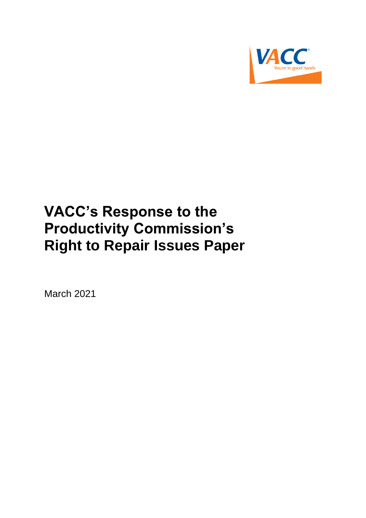

# **VACC's Response to the Productivity Commission's Right to Repair Issues Paper**

March 2021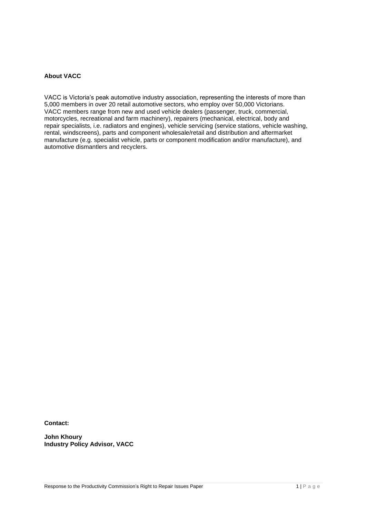# **About VACC**

VACC is Victoria's peak automotive industry association, representing the interests of more than 5,000 members in over 20 retail automotive sectors, who employ over 50,000 Victorians. VACC members range from new and used vehicle dealers (passenger, truck, commercial, motorcycles, recreational and farm machinery), repairers (mechanical, electrical, body and repair specialists, i.e. radiators and engines), vehicle servicing (service stations, vehicle washing, rental, windscreens), parts and component wholesale/retail and distribution and aftermarket manufacture (e.g. specialist vehicle, parts or component modification and/or manufacture), and automotive dismantlers and recyclers.

**Contact:**

**John Khoury Industry Policy Advisor, VACC**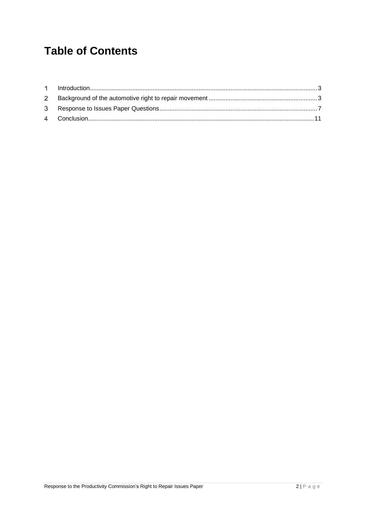# **Table of Contents**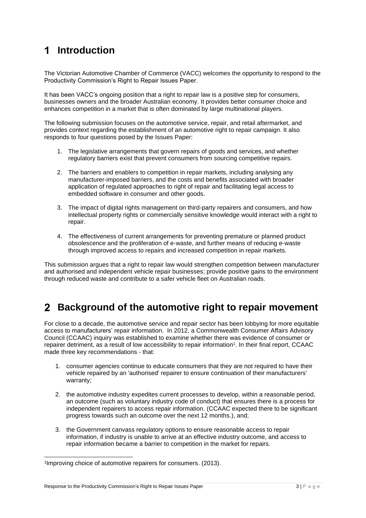# <span id="page-3-0"></span>**Introduction**

The Victorian Automotive Chamber of Commerce (VACC) welcomes the opportunity to respond to the Productivity Commission's Right to Repair Issues Paper.

It has been VACC's ongoing position that a right to repair law is a positive step for consumers, businesses owners and the broader Australian economy. It provides better consumer choice and enhances competition in a market that is often dominated by large multinational players.

The following submission focuses on the automotive service, repair, and retail aftermarket, and provides context regarding the establishment of an automotive right to repair campaign. It also responds to four questions posed by the Issues Paper:

- 1. The legislative arrangements that govern repairs of goods and services, and whether regulatory barriers exist that prevent consumers from sourcing competitive repairs.
- 2. The barriers and enablers to competition in repair markets, including analysing any manufacturer-imposed barriers, and the costs and benefits associated with broader application of regulated approaches to right of repair and facilitating legal access to embedded software in consumer and other goods.
- 3. The impact of digital rights management on third-party repairers and consumers, and how intellectual property rights or commercially sensitive knowledge would interact with a right to repair.
- 4. The effectiveness of current arrangements for preventing premature or planned product obsolescence and the proliferation of e‑waste, and further means of reducing e‑waste through improved access to repairs and increased competition in repair markets.

This submission argues that a right to repair law would strengthen competition between manufacturer and authorised and independent vehicle repair businesses; provide positive gains to the environment through reduced waste and contribute to a safer vehicle fleet on Australian roads.

#### <span id="page-3-1"></span> $\mathbf{2}$ **Background of the automotive right to repair movement**

For close to a decade, the automotive service and repair sector has been lobbying for more equitable access to manufacturers' repair information. In 2012, a Commonwealth Consumer Affairs Advisory Council (CCAAC) inquiry was established to examine whether there was evidence of consumer or repairer detriment, as a result of low accessibility to repair information<sup>1</sup>. In their final report, CCAAC made three key recommendations - that:

- 1. consumer agencies continue to educate consumers that they are not required to have their vehicle repaired by an 'authorised' repairer to ensure continuation of their manufacturers' warranty;
- 2. the automotive industry expedites current processes to develop, within a reasonable period, an outcome (such as voluntary industry code of conduct) that ensures there is a process for independent repairers to access repair information. (CCAAC expected there to be significant progress towards such an outcome over the next 12 months.), and;
- 3. the Government canvass regulatory options to ensure reasonable access to repair information, if industry is unable to arrive at an effective industry outcome, and access to repair information became a barrier to competition in the market for repairs.

<sup>1</sup> Improving choice of automotive repairers for consumers. (2013).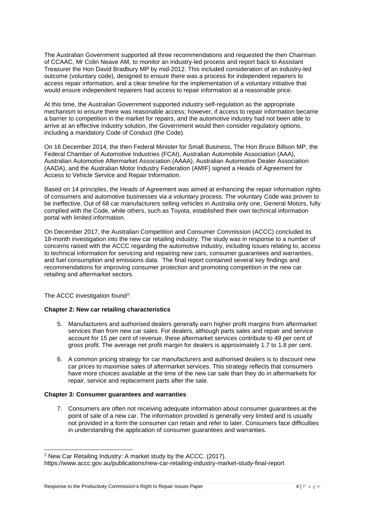The Australian Government supported all three recommendations and requested the then Chairman of CCAAC, Mr Colin Neave AM, to monitor an industry-led process and report back to Assistant Treasurer the Hon David Bradbury MP by mid-2012. This included consideration of an industry-led outcome (voluntary code), designed to ensure there was a process for independent repairers to access repair information, and a clear timeline for the implementation of a voluntary initiative that would ensure independent repairers had access to repair information at a reasonable price.

At this time, the Australian Government supported industry self-regulation as the appropriate mechanism to ensure there was reasonable access; however, if access to repair information became a barrier to competition in the market for repairs, and the automotive industry had not been able to arrive at an effective industry solution, the Government would then consider regulatory options, including a mandatory Code of Conduct (the Code).

On 16 December 2014, the then Federal Minister for Small Business, The Hon Bruce Billson MP, the Federal Chamber of Automotive Industries (FCAI), Australian Automobile Association (AAA), Australian Automotive Aftermarket Association (AAAA), Australian Automotive Dealer Association (AADA), and the Australian Motor Industry Federation (AMIF) signed a Heads of Agreement for Access to Vehicle Service and Repair Information.

Based on 14 principles, the Heads of Agreement was aimed at enhancing the repair information rights of consumers and automotive businesses via a voluntary process. The voluntary Code was proven to be ineffective. Out of 68 car manufacturers selling vehicles in Australia only one, General Motors, fully complied with the Code, while others, such as Toyota, established their own technical information portal with limited information.

On December 2017, the Australian Competition and Consumer Commission (ACCC) concluded its 18-month investigation into the new car retailing industry. The study was in response to a number of concerns raised with the ACCC regarding the automotive industry, including issues relating to, access to technical information for servicing and repairing new cars, consumer guarantees and warranties, and fuel consumption and emissions data. The final report contained several key findings and recommendations for improving consumer protection and promoting competition in the new car retailing and aftermarket sectors.

The ACCC investigation found<sup>2</sup>:

# **Chapter 2: New car retailing characteristics**

- 5. Manufacturers and authorised dealers generally earn higher profit margins from aftermarket services than from new car sales. For dealers, although parts sales and repair and service account for 15 per cent of revenue, these aftermarket services contribute to 49 per cent of gross profit. The average net profit margin for dealers is approximately 1.7 to 1.8 per cent.
- 6. A common pricing strategy for car manufacturers and authorised dealers is to discount new car prices to maximise sales of aftermarket services. This strategy reflects that consumers have more choices available at the time of the new car sale than they do in aftermarkets for repair, service and replacement parts after the sale.

### **Chapter 3: Consumer guarantees and warranties**

7. Consumers are often not receiving adequate information about consumer guarantees at the point of sale of a new car. The information provided is generally very limited and is usually not provided in a form the consumer can retain and refer to later. Consumers face difficulties in understanding the application of consumer guarantees and warranties.

<sup>2</sup> New Car Retailing Industry: A market study by the ACCC. (2017).

https://www.accc.gov.au/publications/new-car-retailing-industry-market-study-final-report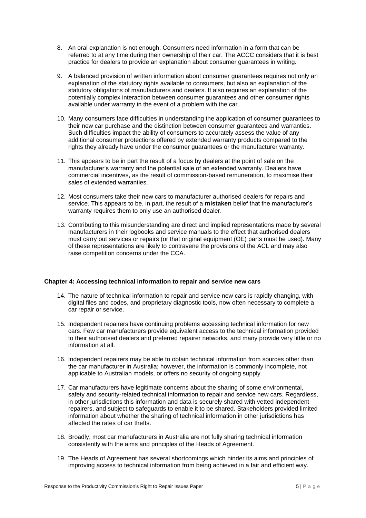- 8. An oral explanation is not enough. Consumers need information in a form that can be referred to at any time during their ownership of their car. The ACCC considers that it is best practice for dealers to provide an explanation about consumer guarantees in writing.
- 9. A balanced provision of written information about consumer guarantees requires not only an explanation of the statutory rights available to consumers, but also an explanation of the statutory obligations of manufacturers and dealers. It also requires an explanation of the potentially complex interaction between consumer guarantees and other consumer rights available under warranty in the event of a problem with the car.
- 10. Many consumers face difficulties in understanding the application of consumer guarantees to their new car purchase and the distinction between consumer guarantees and warranties. Such difficulties impact the ability of consumers to accurately assess the value of any additional consumer protections offered by extended warranty products compared to the rights they already have under the consumer guarantees or the manufacturer warranty.
- 11. This appears to be in part the result of a focus by dealers at the point of sale on the manufacturer's warranty and the potential sale of an extended warranty. Dealers have commercial incentives, as the result of commission-based remuneration, to maximise their sales of extended warranties.
- 12. Most consumers take their new cars to manufacturer authorised dealers for repairs and service. This appears to be, in part, the result of a **mistaken** belief that the manufacturer's warranty requires them to only use an authorised dealer.
- 13. Contributing to this misunderstanding are direct and implied representations made by several manufacturers in their logbooks and service manuals to the effect that authorised dealers must carry out services or repairs (or that original equipment (OE) parts must be used). Many of these representations are likely to contravene the provisions of the ACL and may also raise competition concerns under the CCA.

# **Chapter 4: Accessing technical information to repair and service new cars**

- 14. The nature of technical information to repair and service new cars is rapidly changing, with digital files and codes, and proprietary diagnostic tools, now often necessary to complete a car repair or service.
- 15. Independent repairers have continuing problems accessing technical information for new cars. Few car manufacturers provide equivalent access to the technical information provided to their authorised dealers and preferred repairer networks, and many provide very little or no information at all.
- 16. Independent repairers may be able to obtain technical information from sources other than the car manufacturer in Australia; however, the information is commonly incomplete, not applicable to Australian models, or offers no security of ongoing supply.
- 17. Car manufacturers have legitimate concerns about the sharing of some environmental, safety and security-related technical information to repair and service new cars. Regardless, in other jurisdictions this information and data is securely shared with vetted independent repairers, and subject to safeguards to enable it to be shared. Stakeholders provided limited information about whether the sharing of technical information in other jurisdictions has affected the rates of car thefts.
- 18. Broadly, most car manufacturers in Australia are not fully sharing technical information consistently with the aims and principles of the Heads of Agreement.
- 19. The Heads of Agreement has several shortcomings which hinder its aims and principles of improving access to technical information from being achieved in a fair and efficient way.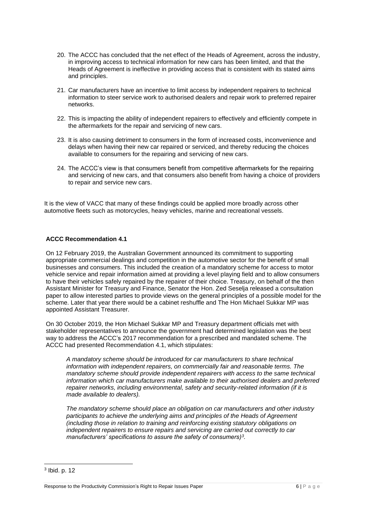- 20. The ACCC has concluded that the net effect of the Heads of Agreement, across the industry, in improving access to technical information for new cars has been limited, and that the Heads of Agreement is ineffective in providing access that is consistent with its stated aims and principles.
- 21. Car manufacturers have an incentive to limit access by independent repairers to technical information to steer service work to authorised dealers and repair work to preferred repairer networks.
- 22. This is impacting the ability of independent repairers to effectively and efficiently compete in the aftermarkets for the repair and servicing of new cars.
- 23. It is also causing detriment to consumers in the form of increased costs, inconvenience and delays when having their new car repaired or serviced, and thereby reducing the choices available to consumers for the repairing and servicing of new cars.
- 24. The ACCC's view is that consumers benefit from competitive aftermarkets for the repairing and servicing of new cars, and that consumers also benefit from having a choice of providers to repair and service new cars.

It is the view of VACC that many of these findings could be applied more broadly across other automotive fleets such as motorcycles, heavy vehicles, marine and recreational vessels.

# **ACCC Recommendation 4.1**

On 12 February 2019, the Australian Government announced its commitment to supporting appropriate commercial dealings and competition in the automotive sector for the benefit of small businesses and consumers. This included the creation of a mandatory scheme for access to motor vehicle service and repair information aimed at providing a level playing field and to allow consumers to have their vehicles safely repaired by the repairer of their choice. Treasury, on behalf of the then Assistant Minister for Treasury and Finance, Senator the Hon. Zed Seselja released a consultation paper to allow interested parties to provide views on the general principles of a possible model for the scheme. Later that year there would be a cabinet reshuffle and The Hon Michael Sukkar MP was appointed Assistant Treasurer.

On 30 October 2019, the Hon Michael Sukkar MP and Treasury department officials met with stakeholder representatives to announce the government had determined legislation was the best way to address the ACCC's 2017 recommendation for a prescribed and mandated scheme. The ACCC had presented Recommendation 4.1, which stipulates:

*A mandatory scheme should be introduced for car manufacturers to share technical information with independent repairers, on commercially fair and reasonable terms. The mandatory scheme should provide independent repairers with access to the same technical information which car manufacturers make available to their authorised dealers and preferred repairer networks, including environmental, safety and security-related information (if it is made available to dealers).* 

*The mandatory scheme should place an obligation on car manufacturers and other industry participants to achieve the underlying aims and principles of the Heads of Agreement (including those in relation to training and reinforcing existing statutory obligations on independent repairers to ensure repairs and servicing are carried out correctly to car manufacturers' specifications to assure the safety of consumers)<sup>3</sup> .*

<sup>3</sup> Ibid. p. 12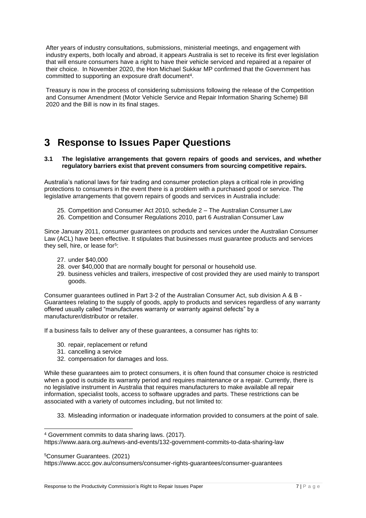After years of industry consultations, submissions, ministerial meetings, and engagement with industry experts, both locally and abroad, it appears Australia is set to receive its first ever legislation that will ensure consumers have a right to have their vehicle serviced and repaired at a repairer of their choice. In November 2020, the Hon Michael Sukkar MP confirmed that the Government has committed to supporting an exposure draft document<sup>4</sup>.

Treasury is now in the process of considering submissions following the release of the Competition and Consumer Amendment (Motor Vehicle Service and Repair Information Sharing Scheme) Bill 2020 and the Bill is now in its final stages.

# <span id="page-7-0"></span>**Response to Issues Paper Questions**

### **3.1 The legislative arrangements that govern repairs of goods and services, and whether regulatory barriers exist that prevent consumers from sourcing competitive repairs.**

Australia's national laws for fair trading and consumer protection plays a critical role in providing protections to consumers in the event there is a problem with a purchased good or service. The legislative arrangements that govern repairs of goods and services in Australia include:

- 25. Competition and Consumer Act 2010, schedule 2 The Australian Consumer Law
- 26. Competition and Consumer Regulations 2010, part 6 Australian Consumer Law

Since January 2011, consumer guarantees on products and services under the Australian Consumer Law (ACL) have been effective. It stipulates that businesses must guarantee products and services they sell, hire, or lease for<sup>5</sup>:

- 27. under \$40,000
- 28. over \$40,000 that are normally bought for personal or household use.
- 29. business vehicles and trailers, irrespective of cost provided they are used mainly to transport goods.

Consumer guarantees outlined in Part 3-2 of the Australian Consumer Act, sub division A & B - Guarantees relating to the supply of goods, apply to products and services regardless of any warranty offered usually called "manufactures warranty or warranty against defects" by a manufacturer/distributor or retailer.

If a business fails to deliver any of these guarantees, a consumer has rights to:

- 30. repair, replacement or refund
- 31. cancelling a service
- 32. compensation for damages and loss.

While these guarantees aim to protect consumers, it is often found that consumer choice is restricted when a good is outside its warranty period and requires maintenance or a repair. Currently, there is no legislative instrument in Australia that requires manufacturers to make available all repair information, specialist tools, access to software upgrades and parts. These restrictions can be associated with a variety of outcomes including, but not limited to:

33. Misleading information or inadequate information provided to consumers at the point of sale.

<sup>5</sup>Consumer Guarantees. (2021)

https://www.accc.gov.au/consumers/consumer-rights-guarantees/consumer-guarantees

<sup>4</sup> Government commits to data sharing laws. (2017).

https://www.aara.org.au/news-and-events/132-government-commits-to-data-sharing-law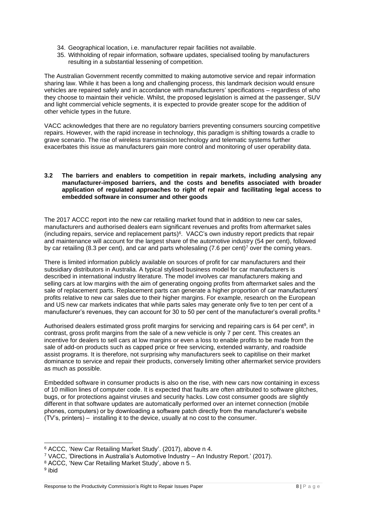- 34. Geographical location, i.e. manufacturer repair facilities not available.
- 35. Withholding of repair information, software updates, specialised tooling by manufacturers resulting in a substantial lessening of competition.

The Australian Government recently committed to making automotive service and repair information sharing law. While it has been a long and challenging process, this landmark decision would ensure vehicles are repaired safely and in accordance with manufacturers' specifications – regardless of who they choose to maintain their vehicle. Whilst, the proposed legislation is aimed at the passenger, SUV and light commercial vehicle segments, it is expected to provide greater scope for the addition of other vehicle types in the future.

VACC acknowledges that there are no regulatory barriers preventing consumers sourcing competitive repairs. However, with the rapid increase in technology, this paradigm is shifting towards a cradle to grave scenario. The rise of wireless transmission technology and telematic systems further exacerbates this issue as manufacturers gain more control and monitoring of user operability data.

## **3.2 The barriers and enablers to competition in repair markets, including analysing any manufacturer-imposed barriers, and the costs and benefits associated with broader application of regulated approaches to right of repair and facilitating legal access to embedded software in consumer and other goods**

The 2017 ACCC report into the new car retailing market found that in addition to new car sales, manufacturers and authorised dealers earn significant revenues and profits from aftermarket sales (including repairs, service and replacement parts) 6 . VACC's own industry report predicts that repair and maintenance will account for the largest share of the automotive industry (54 per cent), followed by car retailing (8.3 per cent), and car and parts wholesaling (7.6 per cent)<sup>7</sup> over the coming years.

There is limited information publicly available on sources of profit for car manufacturers and their subsidiary distributors in Australia. A typical stylised business model for car manufacturers is described in international industry literature. The model involves car manufacturers making and selling cars at low margins with the aim of generating ongoing profits from aftermarket sales and the sale of replacement parts. Replacement parts can generate a higher proportion of car manufacturers' profits relative to new car sales due to their higher margins. For example, research on the European and US new car markets indicates that while parts sales may generate only five to ten per cent of a manufacturer's revenues, they can account for 30 to 50 per cent of the manufacturer's overall profits.<sup>8</sup>

Authorised dealers estimated gross profit margins for servicing and repairing cars is 64 per cent<sup>9</sup>, in contrast, gross profit margins from the sale of a new vehicle is only 7 per cent. This creates an incentive for dealers to sell cars at low margins or even a loss to enable profits to be made from the sale of add-on products such as capped price or free servicing, extended warranty, and roadside assist programs. It is therefore, not surprising why manufacturers seek to capitilise on their market dominance to service and repair their products, conversely limiting other aftermarket service providers as much as possible.

Embedded software in consumer products is also on the rise, with new cars now containing in excess of 10 million lines of computer code. It is expected that faults are often attributed to software glitches, bugs, or for protections against viruses and security hacks. Low cost consumer goods are slightly different in that software updates are automatically performed over an internet connection (mobile phones, computers) or by downloading a software patch directly from the manufacturer's website (TV's, printers) – installing it to the device, usually at no cost to the consumer.

<sup>6</sup> ACCC, 'New Car Retailing Market Study'. (2017), above n 4.

<sup>7</sup> VACC, 'Directions in Australia's Automotive Industry – An Industry Report.' (2017).

<sup>8</sup> ACCC, 'New Car Retailing Market Study', above n 5.

<sup>&</sup>lt;sup>9</sup> ibid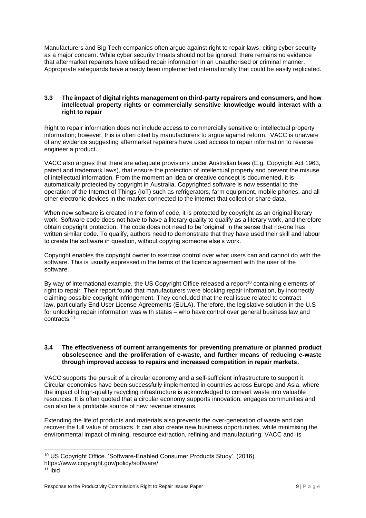Manufacturers and Big Tech companies often argue against right to repair laws, citing cyber security as a major concern. While cyber security threats should not be ignored, there remains no evidence that aftermarket repairers have utilised repair information in an unauthorised or criminal manner. Appropriate safeguards have already been implemented internationally that could be easily replicated.

## **3.3 The impact of digital rights management on third-party repairers and consumers, and how intellectual property rights or commercially sensitive knowledge would interact with a right to repair**

Right to repair information does not include access to commercially sensitive or intellectual property information; however, this is often cited by manufacturers to argue against reform. VACC is unaware of any evidence suggesting aftermarket repairers have used access to repair information to reverse engineer a product.

VACC also argues that there are adequate provisions under Australian laws (E.g. Copyright Act 1963, patent and trademark laws), that ensure the protection of intellectual property and prevent the misuse of intellectual information. From the moment an idea or creative concept is documented, it is automatically protected by copyright in Australia. Copyrighted software is now essential to the operation of the Internet of Things (IoT) such as refrigerators, farm equipment, mobile phones, and all other electronic devices in the market connected to the internet that collect or share data.

When new software is created in the form of code, it is protected by copyright as an original literary work. Software code does not have to have a literary quality to qualify as a literary work, and therefore obtain copyright protection. The code does not need to be 'original' in the sense that no-one has written similar code. To qualify, authors need to demonstrate that they have used their skill and labour to create the software in question, without copying someone else's work.

Copyright enables the copyright owner to exercise control over what users can and cannot do with the software. This is usually expressed in the terms of the licence agreement with the user of the software.

By way of international example, the US Copyright Office released a report<sup>10</sup> containing elements of right to repair. Their report found that manufacturers were blocking repair information, by incorrectly claiming possible copyright infringement. They concluded that the real issue related to contract law, particularly End User License Agreements (EULA). Therefore, the legislative solution in the U.S for unlocking repair information was with states – who have control over general business law and contracts.<sup>11</sup>

# **3.4 The effectiveness of current arrangements for preventing premature or planned product obsolescence and the proliferation of e**‑**waste, and further means of reducing e**‑**waste through improved access to repairs and increased competition in repair markets.**

VACC supports the pursuit of a circular economy and a self-sufficient infrastructure to support it. Circular economies have been successfully implemented in countries across Europe and Asia, where the impact of high-quality recycling infrastructure is acknowledged to convert waste into valuable resources. It is often quoted that a circular economy supports innovation, engages communities and can also be a profitable source of new revenue streams.

Extending the life of products and materials also prevents the over-generation of waste and can recover the full value of products. It can also create new business opportunities, while minimising the environmental impact of mining, resource extraction, refining and manufacturing. VACC and its

<sup>10</sup> US Copyright Office. 'Software-Enabled Consumer Products Study'. (2016).

https://www.copyright.gov/policy/software/

 $11$  ibid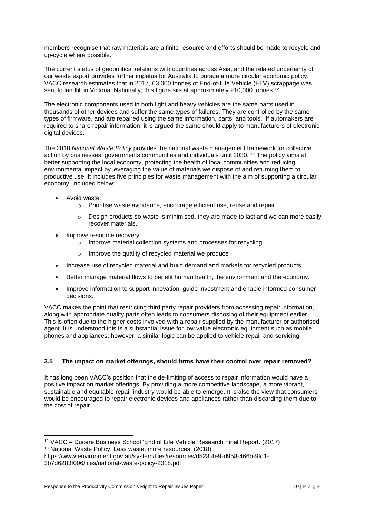members recognise that raw materials are a finite resource and efforts should be made to recycle and up-cycle where possible.

The current status of geopolitical relations with countries across Asia, and the related uncertainty of our waste export provides further impetus for Australia to pursue a more circular economic policy. VACC research estimates that in 2017, 63,000 tonnes of End-of-Life Vehicle (ELV) scrappage was sent to landfill in Victoria. Nationally, this figure sits at approximately 210,000 tonnes.<sup>12</sup>

The electronic components used in both light and heavy vehicles are the same parts used in thousands of other devices and suffer the same types of failures. They are controlled by the same types of firmware, and are repaired using the same information, parts, and tools. If automakers are required to share repair information, it is argued the same should apply to manufacturers of electronic digital devices.

The 2018 *National Waste Policy* provides the national waste management framework for collective action by businesses, governments communities and individuals until 2030. <sup>13</sup> The policy aims at better supporting the local economy, protecting the health of local communities and reducing environmental impact by leveraging the value of materials we dispose of and returning them to productive use. It includes five principles for waste management with the aim of supporting a circular economy, included below:

- Avoid waste:
	- o Prioritise waste avoidance, encourage efficient use, reuse and repair
	- $\circ$  Design products so waste is minimised, they are made to last and we can more easily recover materials.
- Improve resource recovery:
	- o Improve material collection systems and processes for recycling
	- Improve the quality of recycled material we produce
- Increase use of recycled material and build demand and markets for recycled products.
- Better manage material flows to benefit human health, the environment and the economy.
- Improve information to support innovation, guide investment and enable informed consumer decisions.

VACC makes the point that restricting third party repair providers from accessing repair information, along with appropriate quality parts often leads to consumers disposing of their equipment earlier. This is often due to the higher costs involved with a repair supplied by the manufacturer or authorised agent. It is understood this is a substantial issue for low value electronic equipment such as mobile phones and appliances; however, a similar logic can be applied to vehicle repair and servicing.

# **3.5 The impact on market offerings, should firms have their control over repair removed?**

It has long been VACC's position that the de-limiting of access to repair information would have a positive impact on market offerings. By providing a more competitive landscape, a more vibrant, sustainable and equitable repair industry would be able to emerge. It is also the view that consumers would be encouraged to repair electronic devices and appliances rather than discarding them due to the cost of repair.

<sup>12</sup> VACC – Ducere Business School 'End of Life Vehicle Research Final Report. (2017)

<sup>13</sup> National Waste Policy: Less waste, more resources. (2018).

https://www.environment.gov.au/system/files/resources/d523f4e9-d958-466b-9fd1- 3b7d6283f006/files/national-waste-policy-2018.pdf